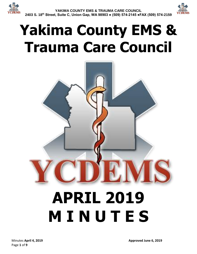

# **Yakima County EMS & Trauma Care Council**

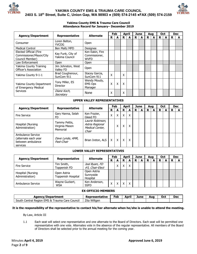



#### **Yakima County EMS & Trauma Care Council Attendance Record for January– December 2019**

|                                                                      |                                     |                                                 | Feb               |                           | <b>April</b> |   | June |   | Aug | <b>Oct</b> |   |   | <b>Dec</b> |
|----------------------------------------------------------------------|-------------------------------------|-------------------------------------------------|-------------------|---------------------------|--------------|---|------|---|-----|------------|---|---|------------|
| <b>Agency/Department</b>                                             | Representative                      | <b>Alternate</b>                                | R                 | A                         | R            | A | R    | A | R   | R          | A | R | A          |
| Consumer                                                             | Loren Belton,<br>YVCOG.             | Open                                            |                   |                           |              |   |      |   |     |            |   |   |            |
| <b>Medical Control</b>                                               | Ben Maltz MPD                       | Designee                                        |                   |                           |              |   |      |   |     |            |   |   |            |
| Elected Official (Fire<br>Commissioner/Mayor/City<br>Council Member) | Kay Funk, City of<br>Yakima Council | Ken Eakin, Fire<br>Commissioner,<br><b>WVFD</b> |                   |                           |              |   |      |   |     |            |   |   |            |
| Law Enforcement                                                      | <b>Open</b>                         | Open                                            |                   |                           |              |   |      |   |     |            |   |   |            |
| Yakima County Training<br>Officer's Association                      | Jim Johnston, West<br>Vallev FD     | Open                                            |                   |                           |              |   |      |   |     |            |   |   |            |
| Yakima County 9-1-1                                                  | Brad Coughenour,<br>SunCom 911      | Stacey Garcia,<br>SunCom 911                    | X                 |                           | Χ            |   |      |   |     |            |   |   |            |
| Yakima County Department<br>of Emergency Medical                     | Tony Miller, ES<br><b>Director</b>  | Wendy Moudy,<br><b>EMS Ops</b><br>Manager       | Χ                 | $\boldsymbol{\mathsf{X}}$ | X            |   |      |   |     |            |   |   |            |
| <b>Services</b>                                                      | Diane Koch,<br>Secretary            | None                                            | $\checkmark$<br>⋏ |                           | Χ            |   |      |   |     |            |   |   |            |

## **UPPER VALLEY REPRESENTATIVES**

|                                                                            | <b>Alternate</b><br><b>Representative</b>   |                                                                 |        | Feb |   | April        |   | June |   | Aua | Oct |  | <b>Dec</b> |   |
|----------------------------------------------------------------------------|---------------------------------------------|-----------------------------------------------------------------|--------|-----|---|--------------|---|------|---|-----|-----|--|------------|---|
| <b>Agency/Department</b>                                                   |                                             |                                                                 | R<br>A |     | R | А            | R | A    | R | А   | R   |  | R          | А |
| <b>Fire Service</b>                                                        | Gary Hanna, Selah<br>FD                     | Ken Frazier,<br>Gleed FD                                        | Χ      | x   | X | $\mathsf{x}$ |   |      |   |     |     |  |            |   |
| Hospital (Nursing<br>Administration)                                       | Tammy Pettis,<br>Virginia Mason<br>Memorial | Laurie Robinson,<br>Astria Regional<br>Medical Center,<br>Chair |        | x   | X | X            |   |      |   |     |     |  |            |   |
| Ambulance Service<br>(alternate each year<br>between ambulance<br>services | Dave Lynde, AMR,<br>Past-Chair              | Brian Ireton, ALS                                               | x      | X   | X | X            |   |      |   |     |     |  |            |   |

## **LOWER VALLEY REPRESENTATIVES**

|                                      |                                   | <b>Alternate</b>                     |    |              | Feb          |              | <b>April</b> |   | June |   | Aua |  | Oct |  | <b>Dec</b> |  |
|--------------------------------------|-----------------------------------|--------------------------------------|----|--------------|--------------|--------------|--------------|---|------|---|-----|--|-----|--|------------|--|
| <b>Agency/Department</b>             | Representative                    |                                      | R. |              | R            | A            | R            | A | R    | A | R   |  | R   |  |            |  |
| <b>Fire Service</b>                  | Tim Smith,<br>Toppenish FD        | Joel Byam, FD<br>#5, Chair-Elect     |    | $\checkmark$ | v            | $\checkmark$ |              |   |      |   |     |  |     |  |            |  |
| Hospital (Nursing<br>Administration) | Open Astria<br>Toppenish Hospital | Open Astria<br>Sunnyside<br>Hospital |    |              |              |              |              |   |      |   |     |  |     |  |            |  |
| Ambulance Service                    | Wayne Guckert,<br>WSA             | Ken Anderson,<br><b>SSFD</b>         | Χ  |              | $\checkmark$ | Χ            |              |   |      |   |     |  |     |  |            |  |

#### **EX-OFFICIO MEMBERS**

| <b>Agency/Department</b>                                     | <b>Representative</b> | ≂еb | Apri | June | Aug | $\mathbf{A}$<br>vu | Dec |
|--------------------------------------------------------------|-----------------------|-----|------|------|-----|--------------------|-----|
| Central Region EMS & T'<br>South<br>Care Council<br>Frauma ( | Wiltaen<br>Zita       |     |      |      |     |                    |     |

#### **It is the responsibility of the representative to contact his/her alternate when he/she is unable to attend the meeting.**

By-Law, Article III

1.1 Each seat will select one representative and one alternate to the Board of Directors. Each seat will be permitted one representative with one vote. Alternates vote in the absence of the regular representative. All members of the Board of Directors shall be selected prior to the annual meeting for the coming year.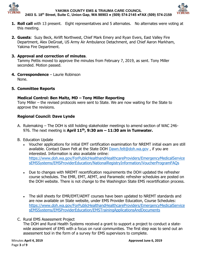



- **1. Roll call** with 13 present. Eight representatives and 5 alternates. No alternates were voting at this meeting.
- **2. Guests**: Suzy Beck, Airlift Northwest, Chief Mark Emery and Ryan Evers, East Valley Fire Department, Alex DeGroat, US Army Air Ambulance Detachment, and Chief Aaron Markham, Yakima Fire Department.

# **3. Approval and correction of minutes**.

Tammy Pettis moved to approve the minutes from February 7, 2019, as sent. Tony Miller seconded. Motion passed.

- **4. Correspondence** Laurie Robinson None.
- **5. Committee Reports**

## **Medical Control: Ben Maltz, MD – Tony Miller Reporting**

Tony Miller – the revised protocols were sent to State. We are now waiting for the State to approve the revisions.

# **Regional Council: Dave Lynde**

- A. Rulemaking The DOH is still holding stakeholder meetings to amend section of WAC 246- 976. The next meeting is **April 11th, 9:30 am – 11:30 am in Tumwater.**
- B. Education Update
	- Voucher applications for initial EMT certification examination for NREMT initial exam are still available. Contact Dawn Felt at the State DOH [Dawn.felt@doh.wa.gov](mailto:Dawn.felt@doh.wa.gov) , if you are interested. Information is also available online: [https://www.doh.wa.gov/ForPublicHealthandHealthcareProviders/EmergencyMedicalService](https://www.doh.wa.gov/ForPublicHealthandHealthcareProviders/EmergencyMedicalServicesEMSSystems/EMSProviderEducation/NationalRegistryInformation/VoucherProgramFAQs) [sEMSSystems/EMSProviderEducation/NationalRegistryInformation/VoucherProgramFAQs](https://www.doh.wa.gov/ForPublicHealthandHealthcareProviders/EmergencyMedicalServicesEMSSystems/EMSProviderEducation/NationalRegistryInformation/VoucherProgramFAQs)
	- Due to changes with NREMT recertification requirements the DOH updated the refresher course schedules. The EMR, EMT, AEMT, and Paramedic refresher schedules are posted on the DOH website. There is not change to the Washington State EMS recertification process.
	- The skill sheets for EMR/EMT/AEMT courses have been updated to NREMT standards and are now available on State website, under EMS Provider Education, Course Schedules: [https://www.doh.wa.gov/ForPublicHealthandHealthcareProviders/EmergencyMedicalService](https://www.doh.wa.gov/ForPublicHealthandHealthcareProviders/EmergencyMedicalServicesEMSSystems/EMSProviderEducation/EMSTrainingApplicationsAndDocuments) [sEMSSystems/EMSProviderEducation/EMSTrainingApplicationsAndDocuments](https://www.doh.wa.gov/ForPublicHealthandHealthcareProviders/EmergencyMedicalServicesEMSSystems/EMSProviderEducation/EMSTrainingApplicationsAndDocuments)
- C. Rural EMS Assessment Project

The DOH and Rural Health Systems received a grant to support a project to conduct a statewide assessment of EMS with a focus on rural communities. The first step was to send out an assessment tool in the form of a survey for EMS supervisors to complete.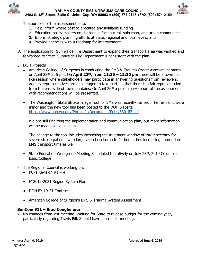



The purpose of the assessment is to:

- 1. Help inform where best to allocated any available funding
- 2. Education policy makers on challenges facing rural, suburban, and urban communities
- 3. Inform strategic planning efforts at state, regional and local levels, and
- 4. Provide agencies with a roadmap for improvement
- D. The application for Sunnyside Fire Department to expand their transport area was verified and forwarded to State. Sunnyside Fire Department is consistent with the plan.
- E. DOH Projects
	- American College of Surgeons is conducting the EMS & Trauma Onsite Assessment starts on April 22nd at 5 pm. On **April 23rd, from 11:15 – 12:30 pm** there will be a town hall like session where stakeholders may participate in answering questions from reviewers. Agency representatives are encouraged to take part, so that there is a fair representation from the east side of the mountains. On April  $26<sup>th</sup>$  a preliminary report of the assessment with recommendations will be presented.
	- The Washington State Stroke Triage Tool for EMS was recently revised. The revisions were minor and the new tool has been posted to the DOH website. <https://www.doh.wa.gov/Portals/1/Documents/Pubs/530182.pdf>

We are still finalizing the implementation and communication plan, but more information will be made available soon.

The change to the tool includes increasing the treatment window of thrombectomy for severe stroke patients with large vessel occlusion to 24 hours thus increasing appropriate EMS transport time as well.

- State Education Workgroup Meeting Scheduled tentatively on July 23rd, 2019 Columbia Basic College
- F. The Regional Council is working on:
	- PCPs Revision  $#1 4$
	- FY2019-2021 Region System Plan
	- DOH FY 19-21 Contract
	- American College of Surgeons EMS & Trauma System Assessment

## **SunCom 911 – Brad Coughenour**

A. No changes from last meeting. Waiting for State to release budget for the coming year, particularly regarding Travis Bill. Should have more next meeting.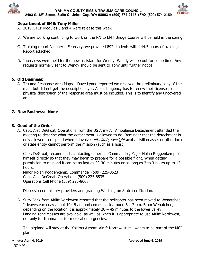



# **Department of EMS: Tony Miller**

- A. 2019 OTEP Modules 3 and 4 were release this week.
- B. We are working continuing to work on the RN to EMT Bridge Course will be held in the spring.
- C. Training report January February, we provided 892 students with 144.5 hours of training. Report attached.
- D. Interviews were held for the new assistant for Wendy. Wendy will be out for some time. Any requests normally sent to Wendy should be sent to Tony until further notice.

## **6. Old Business:**

A. Trauma Response Area Maps – Dave Lynde reported we received the preliminary copy of the map, but did not get the descriptions yet. As each agency has to renew their licenses a physical description of the response area must be included. This is to identify any uncovered areas.

## **7. New Business: None**

## **8. Good of the Order**

A. Capt. Alec DeGroat, Operations from the US Army Air Ambulance Detachment attended the meeting to describe what the detachment is allowed to do. Reminder that the detachment is only allowed to respond when it involves *life, limb, eyesight* and a civilian asset or other local or state entity cannot perform the mission (such as a hoist).

Capt. DeGroat, recommends contacting either his Commander, Major Nolan Roggenkemp or himself directly so that they may begin to prepare for a possible flight. When getting permission to respond it can be as fast as 20-30 minutes or as long as 2 to 3 hours up to 12 hours.

Major Nolan Roggenkemp, Commander (509) 225-8523 Capt. Alec DeGroat, Operations (509) 225-8535 Operations Cell Phone (509) 225-8008

Discussion on military providers and granting Washington State certification.

B. Suzy Beck from Airlift Northwest reported that the helicopter has been moved to Wenatchee. It leaves each day about 10:15 am and comes back around  $6 - 7$  pm. From Wenatchee, depending on the location it is approximately  $20 - 45$  minutes to the lower valley. Landing zone classes are available, as well as when it is appropriate to use Airlift Northwest, not only for trauma but for medical emergencies.

The airplane will stay at the Yakima Airport. Airlift Northwest still wants to be part of the MCI plan.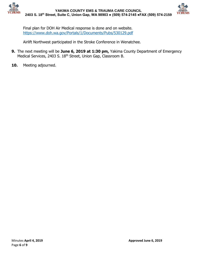



Final plan for DOH Air Medical response is done and on website. <https://www.doh.wa.gov/Portals/1/Documents/Pubs/530129.pdf>

Airlift Northwest participated in the Stroke Conference in Wenatchee.

- **9.** The next meeting will be **June 6, 2019 at 1:30 pm,** Yakima County Department of Emergency Medical Services, 2403 S. 18<sup>th</sup> Street, Union Gap, Classroom B.
- **10.** Meeting adjourned.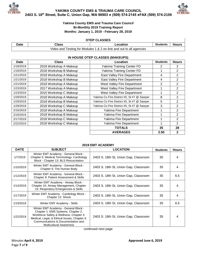



## **Yakima County EMS and Trauma Care Council Bi-Monthly 2019 Training Report Months: January 1, 2019 - February 28, 2019**

#### **OTEP CLASSES**

| Date | ડlass | Location                                                            |  | Students   Hours |
|------|-------|---------------------------------------------------------------------|--|------------------|
|      |       | Video and Testing for Modules 1 & 2 on-line and out to all agencies |  |                  |

## **IN HOUSE OTEP CLASSES (MAKEUPS)**

| Date      | <b>Class</b>           | Location                                   | <b>Students</b> | <b>Hours</b>   |
|-----------|------------------------|--------------------------------------------|-----------------|----------------|
| 1/18/2019 | 2018 Workshop A Makeup | Yakima Training Center FD                  | 2               | 2              |
| 1/18/2019 | 2018 Workshop B Makeup | Yakima Training Center FD                  | 1               | $\overline{2}$ |
| 1/21/2019 | 2018 Workshop A Makeup | <b>East Valley Fire Department</b>         | 4               | $\overline{2}$ |
| 1/21/2019 | 2018 Workshop B Makeup | East Valley Fire Department                | 4               | $\overline{2}$ |
| 1/21/2019 | 2018 Workshop A Makeup | West Valley Fire Department                | 2               | $\overline{2}$ |
| 1/23/2019 | 2017 Workshop A Makeup | West Valley Fire Department                | 1               | $\overline{2}$ |
| 1/23/2019 | 2015 Workshop C Makeup | West Valley Fire Department                | 1               | $\overline{2}$ |
| 1/29/2019 | 2018 Workshop A Makeup | Yakima Co Fire District #5, St #7 @ Sawyer | 8               | $\overline{2}$ |
| 1/29/2019 | 2018 Workshop B Makeup | Yakima Co Fire District #5, St #7 @ Sawyer | 5               | $\overline{2}$ |
| 1/29/2019 | 2018 Workshop C Makeup | Yakima Co Fire District #5, St #7 @ Sawyer | 3               | $\overline{2}$ |
| 2/16/2019 | 2018 Workshop A Makeup | Yakima Fire Department                     | 1               | $\overline{2}$ |
| 2/16/2019 | 2018 Workshop B Makeup | Yakima Fire Department                     | 1               | $\overline{2}$ |
| 2/17/2019 | 2018 Workshop C Makeup | Yakima Fire Department                     | 1               | $\overline{2}$ |
| 2/22/2019 | 2018 Workshop C Makeup | Yakima Fire Department                     | 1               | $\overline{2}$ |
|           |                        | <b>TOTALS</b>                              | 35              | 28             |
|           |                        | <b>AVERAGES</b>                            | 2.50            | $\mathbf{2}$   |

## **2019 EMT ACADEMY**

| <b>DATE</b> | <b>SUBJECT</b>                                                                                                                                                                                                                                | <b>LOCATION</b>                       | <b>Students</b> | <b>Hours</b> |
|-------------|-----------------------------------------------------------------------------------------------------------------------------------------------------------------------------------------------------------------------------------------------|---------------------------------------|-----------------|--------------|
| 1/7/2019    | Winter EMT Academy - General Block -<br>Chapter 5: Medical Terminology, Cardiology<br>Block - Chapter 13: BLS Resuscitation                                                                                                                   | 2403 S. 18th St, Union Gap, Classroom | 35              | 4            |
| 1/10/2019   | Winter EMT Academy - General Block -<br>2403 S. 18th St, Union Gap, Classroom<br>Chapter 6: The Human Body                                                                                                                                    |                                       | 35              | 4            |
| 1/12/2019   | Winter EMT Academy - General Block -<br>Chapter 9: Patient Assessment & Skills                                                                                                                                                                | 2403 S. 18th St, Union Gap, Classroom |                 | 6.5          |
| 1/14/2019   | Winter EMT Academy - Airway Block -<br>Chapter 10: Airway Management, Chapter<br>15: Respiratory Emergencies & Skills                                                                                                                         | 2403 S. 18th St, Union Gap, Classroom | 35              | 4            |
| 1/17/2019   | Winter EMT Academy - Cardiology Block -<br>Chapter 12: Shock                                                                                                                                                                                  | 2403 S. 18th St, Union Gap, Classroom | 35              | 4            |
| 1/19/2019   | Winter EMT Academy - Skills                                                                                                                                                                                                                   | 2403 S. 18th St, Union Gap, Classroom | 35              | 6.5          |
| 1/22/2019   | Winter EMT Academy - General Block -<br>Chapter 1: EMS Systems, Chapter 2:<br>Workforce Safety & Wellness, Chapter 3:<br>Medical, Legal, & Ethical Issues, Chapter 4:<br>Communications & Documentation and<br><b>Multicultural Awareness</b> | 2403 S. 18th St, Union Gap, Classroom | 35              | 4            |

continued next page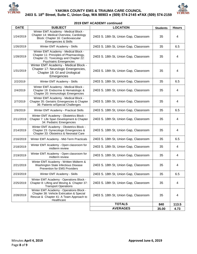



**2019 EMT ACADEMY continued**

| <b>DATE</b> | <b>SUBJECT</b>                                                                                                                                              | <b>LOCATION</b>                       | <b>Students</b> | <b>Hours</b> |
|-------------|-------------------------------------------------------------------------------------------------------------------------------------------------------------|---------------------------------------|-----------------|--------------|
| 1/24/2019   | Winter EMT Academy - Medical Block -<br>Chapter 14: Medical Overview, Cardiology<br>Block: Chapter 16: Cardiovascular<br><b>Emergencies &amp; Skills</b>    | 2403 S. 18th St, Union Gap, Classroom | 35              | 4            |
| 1/26/2019   | Winter EMT Academy - Skills                                                                                                                                 | 2403 S. 18th St, Union Gap, Classroom | 35              | 6.5          |
| 1/28/2019   | Winter EMT Academy - Medical Block -<br>Chapter 11: Principles of Pharmacology,<br>Chapter 21: Toxicology and Chapter 22:<br><b>Psychiatric Emergencies</b> | 2403 S. 18th St, Union Gap, Classroom | 35              | 4            |
| 1/31/2019   | Winter EMT Academy - Medical Block -<br>Chapter 17: Neurologic Emergencies,<br>Chapter 18: GI and Urological<br>Emergencies                                 | 2403 S. 18th St, Union Gap, Classroom | 35              | 4            |
| 2/2/2019    | Winter EMT Academy - Skills                                                                                                                                 | 2403 S. 18th St, Union Gap, Classroom | 35              | 6.5          |
| 2/4/2019    | Winter EMT Academy - Medical Block -<br>Chapter 19: Endocrine & Hematologic &<br>Chapter 20: Immunologic Emergencies                                        | 2403 S. 18th St, Union Gap, Classroom | 35              | 4            |
| 2/7/2019    | Winter EMT Academy - Medical Block -<br>Chapter 35: Geriatric Emergencies & Chapter<br>36: Patients w/Special Challenges                                    | 2403 S. 18th St, Union Gap, Classroom | 35              | 4            |
| 2/9/2019    | Winter EMT Academy - Practical Skills                                                                                                                       | 2403 S. 18th St, Union Gap, Classroom | 35              | 6.5          |
| 2/11/2019   | Winter EMT Academy - Obstetrics Block -<br>Chapter 7: Life Span Development & Chapter<br>34: Pediatric Emergencies                                          | 2403 S. 18th St, Union Gap, Classroom | 35              | 4            |
| 2/14/2019   | Winter EMT Academy - Obstetrics Block -<br>Chapter 23: Gynecologic Emergencies &<br>Chapter 33: Obstetrics & Neonatal Care                                  | 2403 S. 18th St, Union Gap, Classroom | 35              | 4            |
| 2/16/2019   | Winter EMT Academy - Mid-Term Practicals                                                                                                                    | 2403 S. 18th St, Union Gap, Classroom | 35              | 6.5          |
| 2/18/2019   | Winter EMT Academy - Open classroom for<br>midterm review                                                                                                   | 2403 S. 18th St, Union Gap, Classroom | 35              | 4            |
| 2/19/2019   | Winter EMT Academy - Open classroom for<br>midterm review                                                                                                   | 2403 S. 18th St, Union Gap, Classroom | 35              | 4            |
| 2/21/2019   | Winter EMT Academy - Written Midterm &<br>Washington State Infectious Disease<br>Prevention for EMS Providers                                               | 2403 S. 18th St, Union Gap, Classroom | 35              | 4            |
| 2/23/2019   | Winter EMT Academy - Skills                                                                                                                                 | 2403 S. 18th St, Union Gap, Classroom | 35              | 6.5          |
| 2/25/2019   | Winter EMT Academy - Operations Block -<br>Chapter 8: Lifting and Moving & Chapter 37:<br><b>Transport Operations</b>                                       | 2403 S. 18th St, Union Gap, Classroom | 35              | 4            |
| 2/28/2019   | Winter EMT Academy - Operations Block -<br>Chapter 38: Vehicle Extrication & Special<br>Rescue & Chapter 41: A Team Approach to<br>Healthcare               | 2403 S. 18th St, Union Gap, Classroom | 35              | 4            |
|             |                                                                                                                                                             | <b>TOTALS</b>                         | 840             | 113.5        |
|             |                                                                                                                                                             | <b>AVERAGES</b>                       | 35.00           | 4.73         |